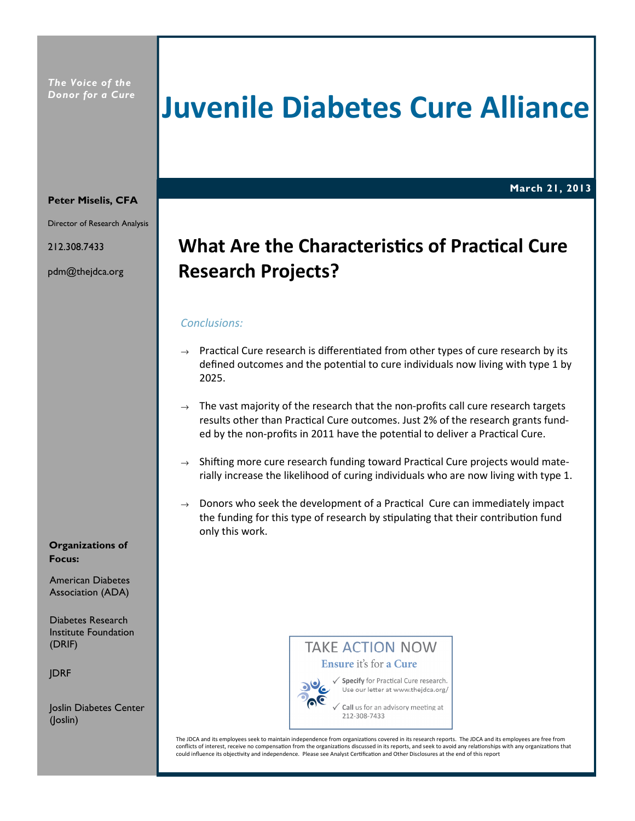# Juvenile Diabetes Cure Alliance

March 21, 2013

#### Peter Miselis, CFA

Director of Research Analysis

212.308.7433

pdm@thejdca.org

# What Are the Characteristics of Practical Cure Research Projects?

# Conclusions:

- $\rightarrow$  Practical Cure research is differentiated from other types of cure research by its defined outcomes and the potential to cure individuals now living with type 1 by 2025.
- $\rightarrow$  The vast majority of the research that the non-profits call cure research targets results other than Practical Cure outcomes. Just 2% of the research grants funded by the non-profits in 2011 have the potential to deliver a Practical Cure.
- $\rightarrow$  Shifting more cure research funding toward Practical Cure projects would materially increase the likelihood of curing individuals who are now living with type 1.
- $\rightarrow$  Donors who seek the development of a Practical Cure can immediately impact the funding for this type of research by stipulating that their contribution fund only this work.

### Organizations of Focus:

American Diabetes Association (ADA)

Diabetes Research Institute Foundation (DRIF)

JDRF

Joslin Diabetes Center (Joslin)

**TAKE ACTION NOW** Ensure it's for a Cure



√ Specify for Practical Cure research. Use our letter at www.thejdca.org/

Call us for an advisory meeting at 212-308-7433

The JDCA and its employees seek to maintain independence from organizations covered in its research reports. The JDCA and its employees are free from conflicts of interest, receive no compensation from the organizations discussed in its reports, and seek to avoid any relationships with any organizations that could influence its objectivity and independence. Please see Analyst Certification and Other Disclosures at the end of this report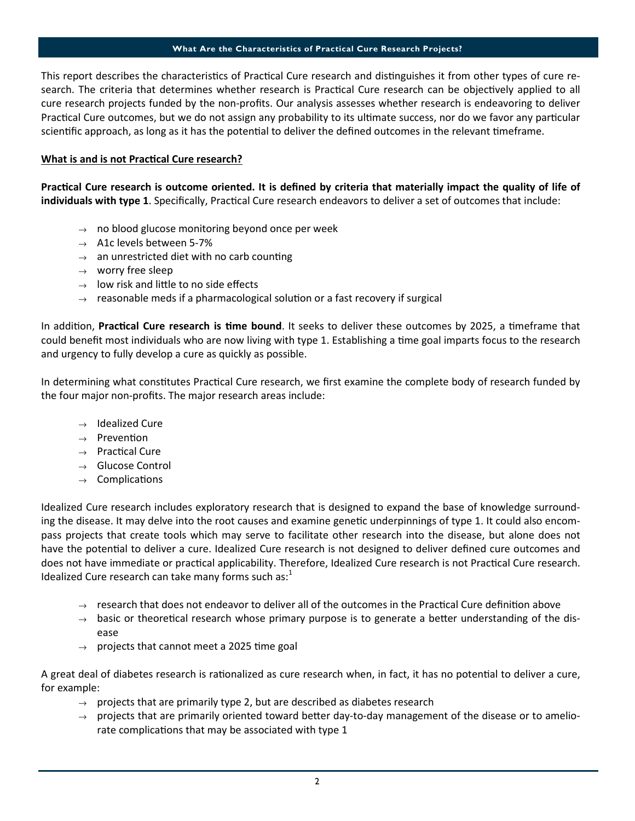#### What Are the Characteristics of Practical Cure Research Projects?

This report describes the characteristics of Practical Cure research and distinguishes it from other types of cure research. The criteria that determines whether research is Practical Cure research can be objectively applied to all cure research projects funded by the non-profits. Our analysis assesses whether research is endeavoring to deliver Practical Cure outcomes, but we do not assign any probability to its ultimate success, nor do we favor any particular scientific approach, as long as it has the potential to deliver the defined outcomes in the relevant timeframe.

# What is and is not Practical Cure research?

Practical Cure research is outcome oriented. It is defined by criteria that materially impact the quality of life of individuals with type 1. Specifically, Practical Cure research endeavors to deliver a set of outcomes that include:

- $\rightarrow$  no blood glucose monitoring beyond once per week
- $\rightarrow$  A1c levels between 5-7%
- $\rightarrow$  an unrestricted diet with no carb counting
- $\rightarrow$  worry free sleep
- $\rightarrow$  low risk and little to no side effects
- $\rightarrow$  reasonable meds if a pharmacological solution or a fast recovery if surgical

In addition, Practical Cure research is time bound. It seeks to deliver these outcomes by 2025, a timeframe that could benefit most individuals who are now living with type 1. Establishing a time goal imparts focus to the research and urgency to fully develop a cure as quickly as possible.

In determining what constitutes Practical Cure research, we first examine the complete body of research funded by the four major non-profits. The major research areas include:

- $\rightarrow$  Idealized Cure
- $\rightarrow$  Prevention
- $\rightarrow$  Practical Cure
- $\rightarrow$  Glucose Control
- $\rightarrow$  Complications

Idealized Cure research includes exploratory research that is designed to expand the base of knowledge surrounding the disease. It may delve into the root causes and examine genetic underpinnings of type 1. It could also encompass projects that create tools which may serve to facilitate other research into the disease, but alone does not have the potential to deliver a cure. Idealized Cure research is not designed to deliver defined cure outcomes and does not have immediate or practical applicability. Therefore, Idealized Cure research is not Practical Cure research. Idealized Cure research can take many forms such as: $<sup>1</sup>$ </sup>

- $\rightarrow$  research that does not endeavor to deliver all of the outcomes in the Practical Cure definition above
- $\rightarrow$  basic or theoretical research whose primary purpose is to generate a better understanding of the disease
- $\rightarrow$  projects that cannot meet a 2025 time goal

A great deal of diabetes research is rationalized as cure research when, in fact, it has no potential to deliver a cure, for example:

- $\rightarrow$  projects that are primarily type 2, but are described as diabetes research
- $\rightarrow$  projects that are primarily oriented toward better day-to-day management of the disease or to ameliorate complications that may be associated with type 1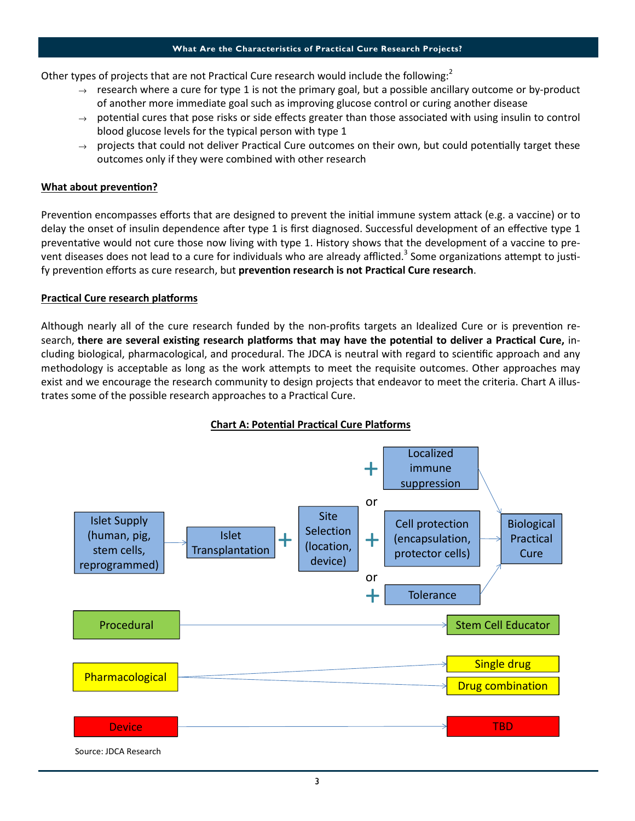#### What Are the Characteristics of Practical Cure Research Projects?

Other types of projects that are not Practical Cure research would include the following: $2$ 

- $\rightarrow$  research where a cure for type 1 is not the primary goal, but a possible ancillary outcome or by-product of another more immediate goal such as improving glucose control or curing another disease
- $\rightarrow$  potential cures that pose risks or side effects greater than those associated with using insulin to control blood glucose levels for the typical person with type 1
- $\rightarrow$  projects that could not deliver Practical Cure outcomes on their own, but could potentially target these outcomes only if they were combined with other research

# What about prevention?

Prevention encompasses efforts that are designed to prevent the initial immune system attack (e.g. a vaccine) or to delay the onset of insulin dependence after type 1 is first diagnosed. Successful development of an effective type 1 preventative would not cure those now living with type 1. History shows that the development of a vaccine to prevent diseases does not lead to a cure for individuals who are already afflicted.<sup>3</sup> Some organizations attempt to justify prevention efforts as cure research, but prevention research is not Practical Cure research.

### Practical Cure research platforms

Although nearly all of the cure research funded by the non-profits targets an Idealized Cure or is prevention research, there are several existing research platforms that may have the potential to deliver a Practical Cure, including biological, pharmacological, and procedural. The JDCA is neutral with regard to scienfic approach and any methodology is acceptable as long as the work attempts to meet the requisite outcomes. Other approaches may exist and we encourage the research community to design projects that endeavor to meet the criteria. Chart A illustrates some of the possible research approaches to a Practical Cure.



# Chart A: Potential Practical Cure Platforms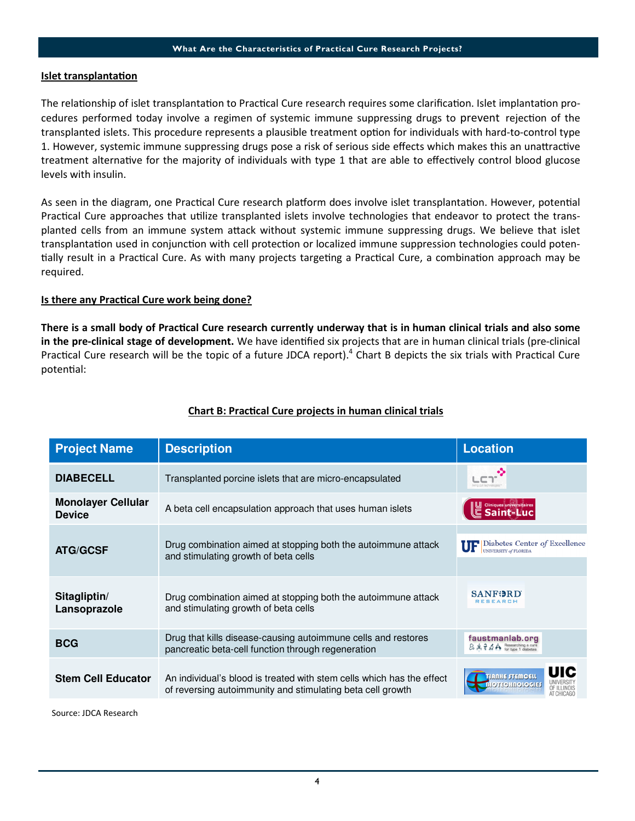### Islet transplantation

The relationship of islet transplantation to Practical Cure research requires some clarification. Islet implantation procedures performed today involve a regimen of systemic immune suppressing drugs to prevent rejection of the transplanted islets. This procedure represents a plausible treatment option for individuals with hard-to-control type 1. However, systemic immune suppressing drugs pose a risk of serious side effects which makes this an unattractive treatment alternative for the majority of individuals with type 1 that are able to effectively control blood glucose levels with insulin.

As seen in the diagram, one Practical Cure research platform does involve islet transplantation. However, potential Practical Cure approaches that utilize transplanted islets involve technologies that endeavor to protect the transplanted cells from an immune system attack without systemic immune suppressing drugs. We believe that islet transplantation used in conjunction with cell protection or localized immune suppression technologies could potentially result in a Practical Cure. As with many projects targeting a Practical Cure, a combination approach may be required.

# Is there any Practical Cure work being done?

There is a small body of Practical Cure research currently underway that is in human clinical trials and also some in the pre-clinical stage of development. We have identified six projects that are in human clinical trials (pre-clinical Practical Cure research will be the topic of a future JDCA report). $4$  Chart B depicts the six trials with Practical Cure potential:

| <b>Project Name</b>                        | <b>Description</b>                                                                                                                  | <b>Location</b>                                                                                  |
|--------------------------------------------|-------------------------------------------------------------------------------------------------------------------------------------|--------------------------------------------------------------------------------------------------|
| <b>DIABECELL</b>                           | Transplanted porcine islets that are micro-encapsulated                                                                             | LET <sup>-</sup><br>living cell technologie                                                      |
| <b>Monolayer Cellular</b><br><b>Device</b> | A beta cell encapsulation approach that uses human islets                                                                           | U Cliniques universitaires                                                                       |
| <b>ATG/GCSF</b>                            | Drug combination aimed at stopping both the autoimmune attack<br>and stimulating growth of beta cells                               | Diabetes Center of Excellence<br>UF<br>UNIVERSITY of FLORIDA                                     |
| Sitagliptin/<br>Lansoprazole               | Drug combination aimed at stopping both the autoimmune attack<br>and stimulating growth of beta cells                               | <b>SANFDRD</b><br><b>ESEARCH</b>                                                                 |
| <b>BCG</b>                                 | Drug that kills disease-causing autoimmune cells and restores<br>pancreatic beta-cell function through regeneration                 | faustmanlab.org<br>$B \oplus \frac{2}{3}$ $B \oplus B$ Researching a cure                        |
| <b>Stem Cell Educator</b>                  | An individual's blood is treated with stem cells which has the effect<br>of reversing autoimmunity and stimulating beta cell growth | UIC<br>TIANNE STEMCELL<br><b>UNIVERSITY</b><br><b>OTECHNOLOGIES</b><br>OF ILLINOIS<br>AT CHICAGO |

# Chart B: Practical Cure projects in human clinical trials

Source: JDCA Research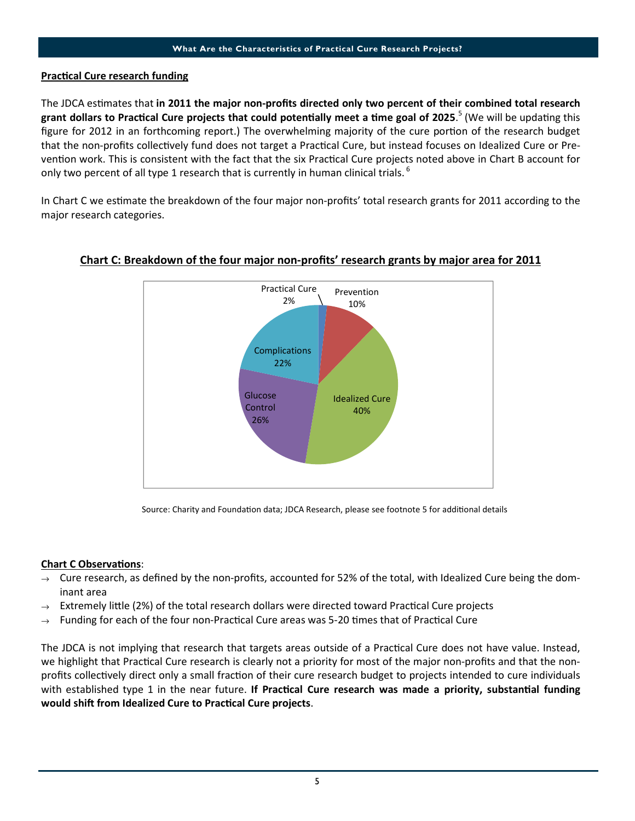# Practical Cure research funding

The JDCA estimates that in 2011 the major non-profits directed only two percent of their combined total research grant dollars to Practical Cure projects that could potentially meet a time goal of 2025.<sup>5</sup> (We will be updating this figure for 2012 in an forthcoming report.) The overwhelming majority of the cure portion of the research budget that the non-profits collectively fund does not target a Practical Cure, but instead focuses on Idealized Cure or Prevention work. This is consistent with the fact that the six Practical Cure projects noted above in Chart B account for only two percent of all type 1 research that is currently in human clinical trials.  $^6$ 

In Chart C we estimate the breakdown of the four major non-profits' total research grants for 2011 according to the major research categories.



# Chart C: Breakdown of the four major non-profits' research grants by major area for 2011

Source: Charity and Foundation data; JDCA Research, please see footnote 5 for additional details

# **Chart C Observations:**

- Cure research, as defined by the non-profits, accounted for 52% of the total, with Idealized Cure being the dominant area
- Extremely little (2%) of the total research dollars were directed toward Practical Cure projects
- Funding for each of the four non-Practical Cure areas was 5-20 times that of Practical Cure

The JDCA is not implying that research that targets areas outside of a Practical Cure does not have value. Instead, we highlight that Practical Cure research is clearly not a priority for most of the major non-profits and that the nonprofits collectively direct only a small fraction of their cure research budget to projects intended to cure individuals with established type 1 in the near future. If Practical Cure research was made a priority, substantial funding would shift from Idealized Cure to Practical Cure projects.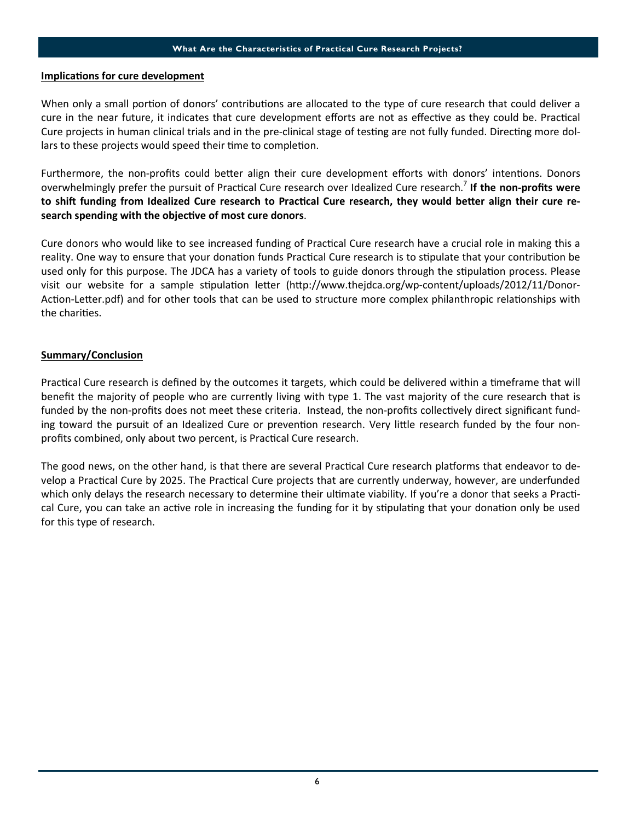#### What Are the Characteristics of Practical Cure Research Projects?

#### Implications for cure development

When only a small portion of donors' contributions are allocated to the type of cure research that could deliver a cure in the near future, it indicates that cure development efforts are not as effective as they could be. Practical Cure projects in human clinical trials and in the pre-clinical stage of testing are not fully funded. Directing more dollars to these projects would speed their time to completion.

Furthermore, the non-profits could better align their cure development efforts with donors' intentions. Donors overwhelmingly prefer the pursuit of Practical Cure research over Idealized Cure research.<sup>7</sup> If the non-profits were to shift funding from Idealized Cure research to Practical Cure research, they would better align their cure research spending with the objective of most cure donors.

Cure donors who would like to see increased funding of Practical Cure research have a crucial role in making this a reality. One way to ensure that your donation funds Practical Cure research is to stipulate that your contribution be used only for this purpose. The JDCA has a variety of tools to guide donors through the stipulation process. Please visit our website for a sample stipulation letter (http://www.thejdca.org/wp-content/uploads/2012/11/Donor-Action-Letter.pdf) and for other tools that can be used to structure more complex philanthropic relationships with the charities.

# Summary/Conclusion

Practical Cure research is defined by the outcomes it targets, which could be delivered within a timeframe that will benefit the majority of people who are currently living with type 1. The vast majority of the cure research that is funded by the non-profits does not meet these criteria. Instead, the non-profits collectively direct significant funding toward the pursuit of an Idealized Cure or prevention research. Very little research funded by the four nonprofits combined, only about two percent, is Practical Cure research.

The good news, on the other hand, is that there are several Practical Cure research platforms that endeavor to develop a Practical Cure by 2025. The Practical Cure projects that are currently underway, however, are underfunded which only delays the research necessary to determine their ultimate viability. If you're a donor that seeks a Practical Cure, you can take an active role in increasing the funding for it by stipulating that your donation only be used for this type of research.